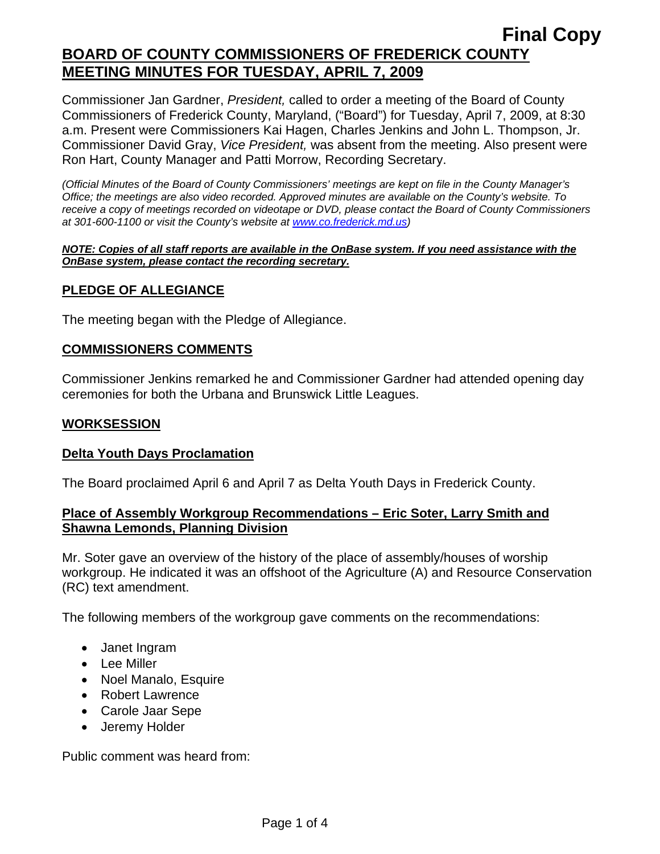Commissioner Jan Gardner, *President,* called to order a meeting of the Board of County Commissioners of Frederick County, Maryland, ("Board") for Tuesday, April 7, 2009, at 8:30 a.m. Present were Commissioners Kai Hagen, Charles Jenkins and John L. Thompson, Jr. Commissioner David Gray, *Vice President,* was absent from the meeting. Also present were Ron Hart, County Manager and Patti Morrow, Recording Secretary.

*(Official Minutes of the Board of County Commissioners' meetings are kept on file in the County Manager's Office; the meetings are also video recorded. Approved minutes are available on the County's website. To receive a copy of meetings recorded on videotape or DVD, please contact the Board of County Commissioners at 301-600-1100 or visit the County's website at [www.co.frederick.md.us\)](http://www.co.frederick.md.us/)* 

#### *NOTE: Copies of all staff reports are available in the OnBase system. If you need assistance with the OnBase system, please contact the recording secretary.*

### **PLEDGE OF ALLEGIANCE**

The meeting began with the Pledge of Allegiance.

### **COMMISSIONERS COMMENTS**

Commissioner Jenkins remarked he and Commissioner Gardner had attended opening day ceremonies for both the Urbana and Brunswick Little Leagues.

### **WORKSESSION**

#### **Delta Youth Days Proclamation**

The Board proclaimed April 6 and April 7 as Delta Youth Days in Frederick County.

### **Place of Assembly Workgroup Recommendations – Eric Soter, Larry Smith and Shawna Lemonds, Planning Division**

Mr. Soter gave an overview of the history of the place of assembly/houses of worship workgroup. He indicated it was an offshoot of the Agriculture (A) and Resource Conservation (RC) text amendment.

The following members of the workgroup gave comments on the recommendations:

- Janet Ingram
- Lee Miller
- Noel Manalo, Esquire
- Robert Lawrence
- Carole Jaar Sepe
- Jeremy Holder

Public comment was heard from: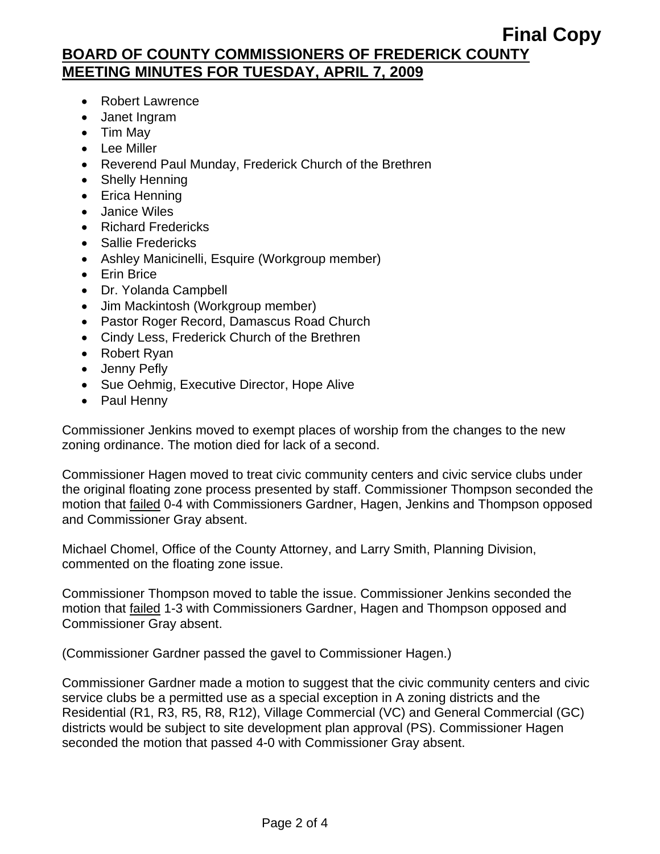## **Final Copy BOARD OF COUNTY COMMISSIONERS OF FREDERICK COUNTY MEETING MINUTES FOR TUESDAY, APRIL 7, 2009**

- Robert Lawrence
- Janet Ingram
- Tim May
- Lee Miller
- Reverend Paul Munday, Frederick Church of the Brethren
- Shelly Henning
- Erica Henning
- Janice Wiles
- Richard Fredericks
- Sallie Fredericks
- Ashley Manicinelli, Esquire (Workgroup member)
- Erin Brice
- Dr. Yolanda Campbell
- Jim Mackintosh (Workgroup member)
- Pastor Roger Record, Damascus Road Church
- Cindy Less, Frederick Church of the Brethren
- Robert Ryan
- Jenny Pefly
- Sue Oehmig, Executive Director, Hope Alive
- Paul Henny

Commissioner Jenkins moved to exempt places of worship from the changes to the new zoning ordinance. The motion died for lack of a second.

Commissioner Hagen moved to treat civic community centers and civic service clubs under the original floating zone process presented by staff. Commissioner Thompson seconded the motion that failed 0-4 with Commissioners Gardner, Hagen, Jenkins and Thompson opposed and Commissioner Gray absent.

Michael Chomel, Office of the County Attorney, and Larry Smith, Planning Division, commented on the floating zone issue.

Commissioner Thompson moved to table the issue. Commissioner Jenkins seconded the motion that failed 1-3 with Commissioners Gardner, Hagen and Thompson opposed and Commissioner Gray absent.

(Commissioner Gardner passed the gavel to Commissioner Hagen.)

Commissioner Gardner made a motion to suggest that the civic community centers and civic service clubs be a permitted use as a special exception in A zoning districts and the Residential (R1, R3, R5, R8, R12), Village Commercial (VC) and General Commercial (GC) districts would be subject to site development plan approval (PS). Commissioner Hagen seconded the motion that passed 4-0 with Commissioner Gray absent.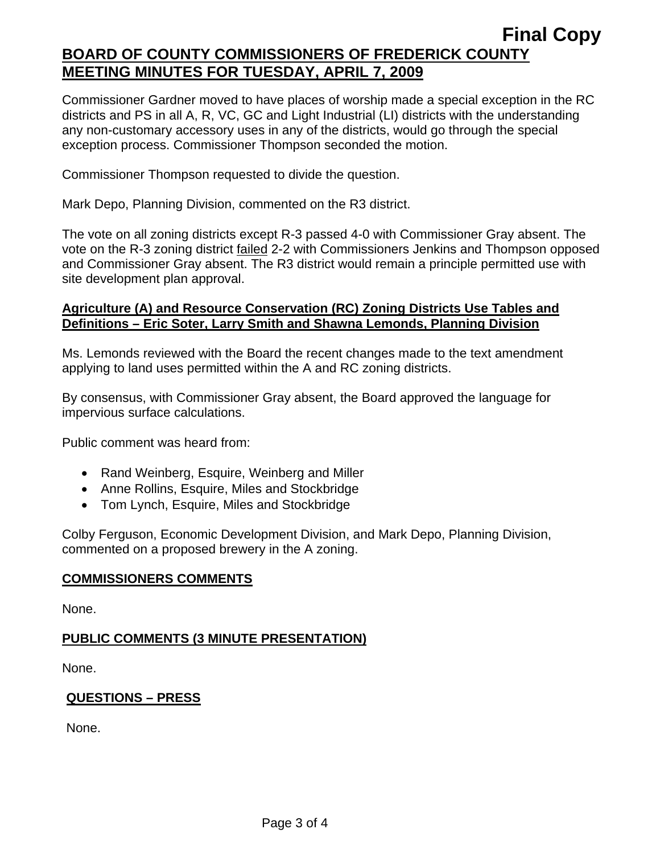## **Final Copy BOARD OF COUNTY COMMISSIONERS OF FREDERICK COUNTY MEETING MINUTES FOR TUESDAY, APRIL 7, 2009**

Commissioner Gardner moved to have places of worship made a special exception in the RC districts and PS in all A, R, VC, GC and Light Industrial (LI) districts with the understanding any non-customary accessory uses in any of the districts, would go through the special exception process. Commissioner Thompson seconded the motion.

Commissioner Thompson requested to divide the question.

Mark Depo, Planning Division, commented on the R3 district.

The vote on all zoning districts except R-3 passed 4-0 with Commissioner Gray absent. The vote on the R-3 zoning district failed 2-2 with Commissioners Jenkins and Thompson opposed and Commissioner Gray absent. The R3 district would remain a principle permitted use with site development plan approval.

### **Agriculture (A) and Resource Conservation (RC) Zoning Districts Use Tables and Definitions – Eric Soter, Larry Smith and Shawna Lemonds, Planning Division**

Ms. Lemonds reviewed with the Board the recent changes made to the text amendment applying to land uses permitted within the A and RC zoning districts.

By consensus, with Commissioner Gray absent, the Board approved the language for impervious surface calculations.

Public comment was heard from:

- Rand Weinberg, Esquire, Weinberg and Miller
- Anne Rollins, Esquire, Miles and Stockbridge
- Tom Lynch, Esquire, Miles and Stockbridge

Colby Ferguson, Economic Development Division, and Mark Depo, Planning Division, commented on a proposed brewery in the A zoning.

### **COMMISSIONERS COMMENTS**

None.

### **PUBLIC COMMENTS (3 MINUTE PRESENTATION)**

None.

### **QUESTIONS – PRESS**

None.